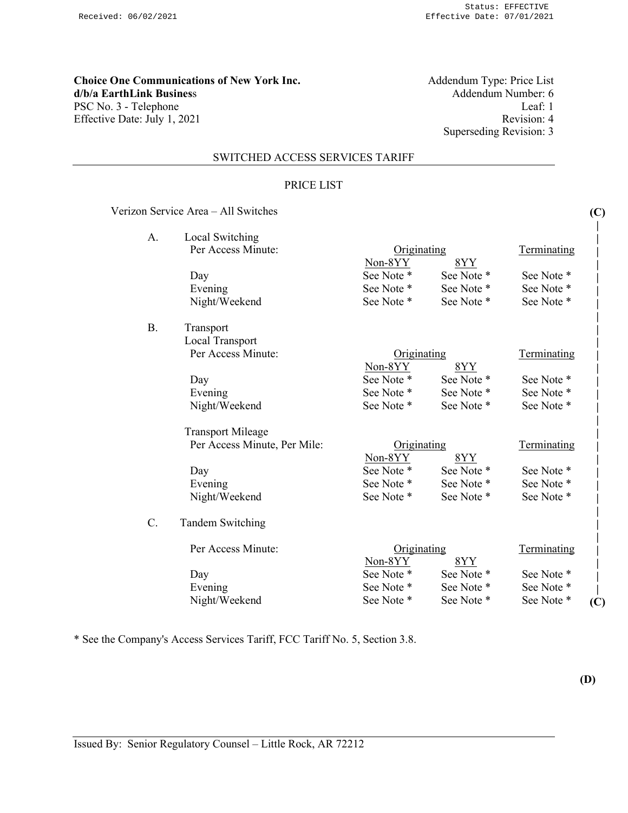# **Choice One Communications of New York Inc.** Addendum Type: Price List d/b/a EarthLink Business Addendum Number: 6 **d/b/a EarthLink Business** PSC No. 3 - Telephone Leaf: 1<br>Effective Date: July 1, 2021 Revision: 4 Effective Date: July 1, 2021

Superseding Revision: 3

### SWITCHED ACCESS SERVICES TARIFF

#### PRICE LIST

# Verizon Service Area – All Switches

| A. | Local Switching              |             |                   |                    |     |
|----|------------------------------|-------------|-------------------|--------------------|-----|
|    | Per Access Minute:           | Originating |                   | Terminating        |     |
|    |                              | Non-8YY     | 8YY<br>See Note * | See Note *         |     |
|    | Day                          | See Note *  |                   |                    |     |
|    | Evening                      | See Note *  | See Note *        | See Note *         |     |
|    | Night/Weekend                | See Note *  | See Note *        | See Note *         |     |
| Β. | Transport                    |             |                   |                    |     |
|    | Local Transport              |             |                   |                    |     |
|    | Per Access Minute:           | Originating |                   | Terminating        |     |
|    |                              | Non-8YY     | 8YY               |                    |     |
|    | Day                          | See Note *  | See Note *        | See Note *         |     |
|    | Evening                      | See Note *  | See Note *        | See Note *         |     |
|    | Night/Weekend                | See Note *  | See Note *        | See Note *         |     |
|    | <b>Transport Mileage</b>     |             |                   |                    |     |
|    | Per Access Minute, Per Mile: | Originating |                   | Terminating        |     |
|    |                              | Non-8YY     | 8YY               |                    |     |
|    | Day                          | See Note *  | See Note *        | See Note *         |     |
|    | Evening                      | See Note *  | See Note *        | See Note *         |     |
|    | Night/Weekend                | See Note *  | See Note *        | See Note *         |     |
| C. | <b>Tandem Switching</b>      |             |                   |                    |     |
|    | Per Access Minute:           | Originating |                   | <b>Terminating</b> |     |
|    |                              | Non-8YY     | 8YY               |                    |     |
|    | Day                          | See Note *  | See Note *        | See Note *         |     |
|    | Evening                      | See Note *  | See Note *        | See Note *         |     |
|    | Night/Weekend                | See Note *  | See Note *        | See Note *         | (C) |
|    |                              |             |                   |                    |     |

\* See the Company's Access Services Tariff, FCC Tariff No. 5, Section 3.8.

**(D)** 

**(C)**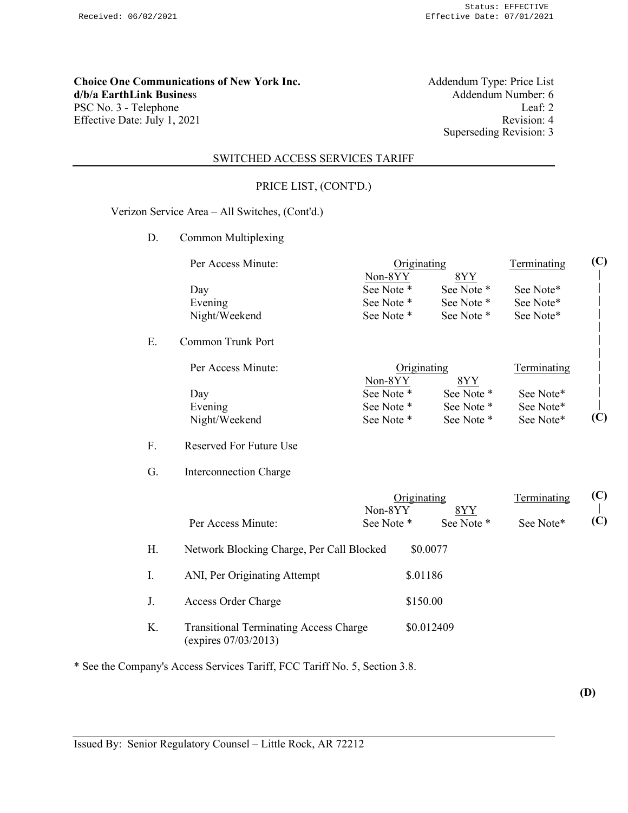**Choice One Communications of New York Inc.** Addendum Type: Price List d/b/a EarthLink Business Addendum Number: 6 **d/b/a EarthLink Business** PSC No. 3 - Telephone Leaf: 2<br>Effective Date: July 1, 2021 Revision: 4 Effective Date: July 1, 2021

Superseding Revision: 3

# SWITCHED ACCESS SERVICES TARIFF

# PRICE LIST, (CONT'D.)

### Verizon Service Area – All Switches, (Cont'd.)

D. Common Multiplexing

|    | Per Access Minute: | Originating |            | Terminating | (C) |
|----|--------------------|-------------|------------|-------------|-----|
|    |                    | Non-8YY     | <u>8YY</u> |             |     |
|    | Day                | See Note *  | See Note * | See Note*   |     |
|    | Evening            | See Note *  | See Note * | See Note*   |     |
|    | Night/Weekend      | See Note *  | See Note * | See Note*   |     |
| Ē. | Common Trunk Port  |             |            |             |     |
|    | Per Access Minute: | Originating |            | Terminating |     |
|    |                    | Non-8YY     | 8YY        |             |     |
|    | Dav                | See Note *  | See Note * | See Note*   |     |

Evening See Note \* See Note \* See Note \* See Note \* Night/Weekend See Note \* See Note \* See Note \* See Note \*

### F. Reserved For Future Use

G. Interconnection Charge

|    |                                                                       | Originating<br>8YY<br>Non-8YY |            | Terminating | (C) |  |
|----|-----------------------------------------------------------------------|-------------------------------|------------|-------------|-----|--|
|    | Per Access Minute:                                                    | See Note *                    | See Note * | See Note*   | (C) |  |
| Η. | Network Blocking Charge, Per Call Blocked                             |                               | \$0.0077   |             |     |  |
| Ι. | ANI, Per Originating Attempt                                          | \$.01186                      |            |             |     |  |
| J. | Access Order Charge                                                   | \$150.00                      |            |             |     |  |
| Κ. | <b>Transitional Terminating Access Charge</b><br>(expires 07/03/2013) |                               | \$0.012409 |             |     |  |

\* See the Company's Access Services Tariff, FCC Tariff No. 5, Section 3.8.

**(D)** 

**| (C)**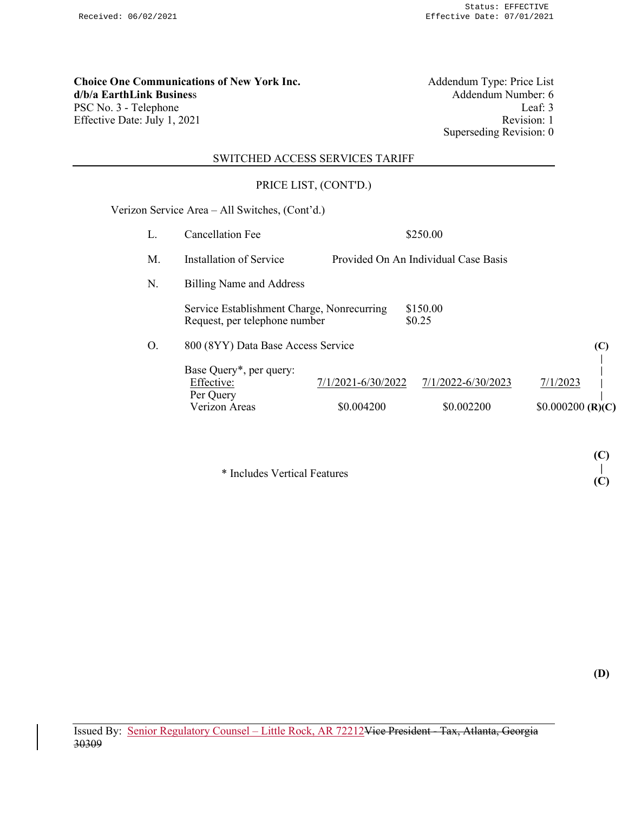**Choice One Communications of New York Inc.** Addendum Type: Price List d/b/a EarthLink Business Addendum Number: 6 **d/b/a EarthLink Business** Addendum Number: 6<br>PSC No. 3 - Telephone Leaf: 3 PSC No. 3 - Telephone Leaf: 3<br>
Effective Date: July 1, 2021<br>
Revision: 1 Effective Date: July 1, 2021

Superseding Revision: 0

# SWITCHED ACCESS SERVICES TARIFF

# PRICE LIST, (CONT'D.)

Verizon Service Area – All Switches, (Cont'd.)

| L. | <b>Cancellation Fee</b>                                                     |                                  | \$250.00                             |                                |
|----|-----------------------------------------------------------------------------|----------------------------------|--------------------------------------|--------------------------------|
| М. | Installation of Service                                                     |                                  | Provided On An Individual Case Basis |                                |
| N. | <b>Billing Name and Address</b>                                             |                                  |                                      |                                |
|    | Service Establishment Charge, Nonrecurring<br>Request, per telephone number |                                  | \$150.00<br>\$0.25                   |                                |
| О. | 800 (8YY) Data Base Access Service                                          |                                  |                                      | (C)                            |
|    | Base Query*, per query:<br>Effective:<br>Per Query<br>Verizon Areas         | 7/1/2021-6/30/2022<br>\$0.004200 | 7/1/2022-6/30/2023<br>\$0.002200     | 7/1/2023<br>$$0.000200$ (R)(C) |

\* Includes Vertical Features

**(D)** 

**(C) | (C)**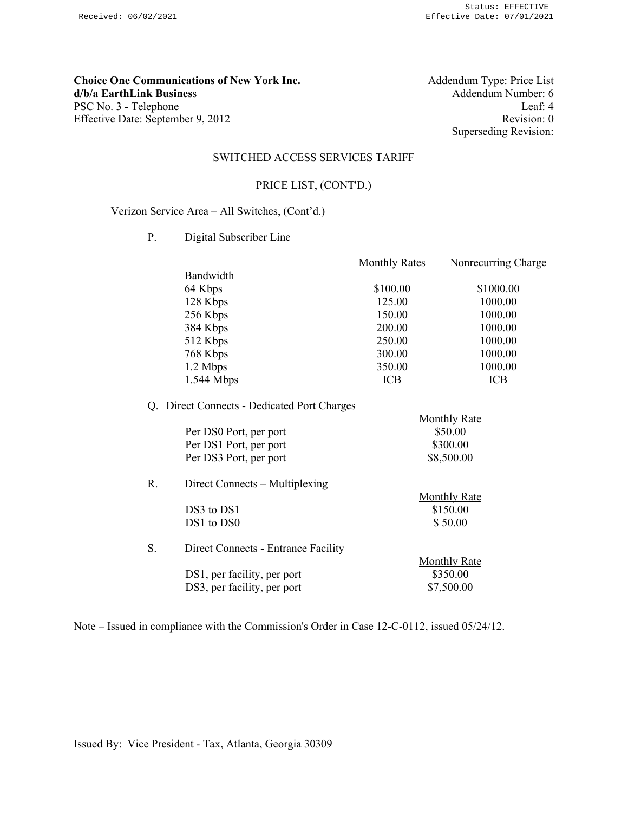**Choice One Communications of New York Inc.** Addendum Type: Price List <br>d/b/a EarthLink Business Addendum Number: 6 **d/b/a EarthLink Business** PSC No. 3 - Telephone Leaf: 4<br>Effective Date: September 9, 2012 Revision: 0 Effective Date: September 9, 2012

Superseding Revision:

#### SWITCHED ACCESS SERVICES TARIFF

### PRICE LIST, (CONT'D.)

Verizon Service Area – All Switches, (Cont'd.)

P. Digital Subscriber Line

|              | <b>Monthly Rates</b> | Nonrecurring Charge |
|--------------|----------------------|---------------------|
| Bandwidth    |                      |                     |
| 64 Kbps      | \$100.00             | \$1000.00           |
| 128 Kbps     | 125.00               | 1000.00             |
| 256 Kbps     | 150.00               | 1000.00             |
| 384 Kbps     | 200.00               | 1000.00             |
| 512 Kbps     | 250.00               | 1000.00             |
| 768 Kbps     | 300.00               | 1000.00             |
| 1.2 Mbps     | 350.00               | 1000.00             |
| $1.544$ Mbps | <b>ICB</b>           | ICB                 |
|              |                      |                     |

# Q. Direct Connects - Dedicated Port Charges

|                        | <b>Monthly Rate</b> |
|------------------------|---------------------|
| Per DS0 Port, per port | \$50.00             |
| Per DS1 Port, per port | \$300.00            |
| Per DS3 Port, per port | \$8,500.00          |
|                        |                     |

| R. | Direct Connects – Multiplexing      |                     |
|----|-------------------------------------|---------------------|
|    |                                     | <b>Monthly Rate</b> |
|    | DS3 to DS1                          | \$150.00            |
|    | DS1 to DS0                          | \$50.00             |
| S. | Direct Connects - Entrance Facility |                     |
|    |                                     | <b>Monthly Rate</b> |

DS1, per facility, per port \$350.00 DS3, per facility, per port \$7,500.00

Note – Issued in compliance with the Commission's Order in Case 12-C-0112, issued 05/24/12.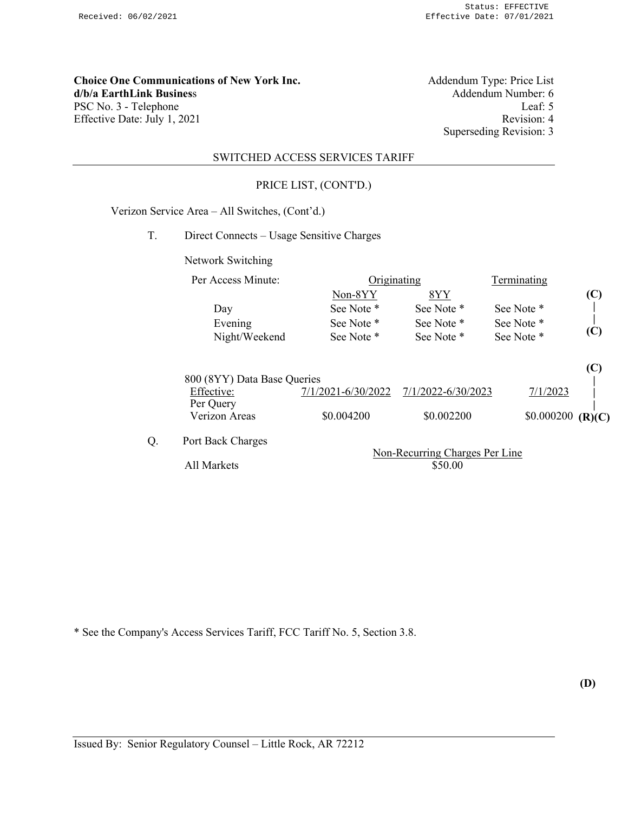**Choice One Communications of New York Inc.** Addendum Type: Price List d/b/a EarthLink Business Addendum Number: 6 **d/b/a EarthLink Business** PSC No. 3 - Telephone Leaf: 5<br>Effective Date: July 1, 2021 Revision: 4 Effective Date: July 1, 2021

Superseding Revision: 3

#### SWITCHED ACCESS SERVICES TARIFF

### PRICE LIST, (CONT'D.)

# Verizon Service Area – All Switches, (Cont'd.)

T. Direct Connects – Usage Sensitive Charges

Network Switching

|    | Per Access Minute:          | Originating        |                                              | Terminating |        |
|----|-----------------------------|--------------------|----------------------------------------------|-------------|--------|
|    |                             | Non-8YY            | 8YY                                          |             | (C)    |
|    | Day                         | See Note *         | See Note *                                   | See Note *  |        |
|    | Evening                     | See Note *         | See Note *                                   | See Note *  |        |
|    | Night/Weekend               | See Note *         | See Note *                                   | See Note *  | (C)    |
|    |                             |                    |                                              |             | (C)    |
|    | 800 (8YY) Data Base Queries |                    |                                              |             |        |
|    | Effective:<br>Per Query     | 7/1/2021-6/30/2022 | 7/1/2022-6/30/2023                           | 7/1/2023    |        |
|    | Verizon Areas               | \$0.004200         | \$0.002200                                   | \$0.000200  | (R)(C) |
| Q. | Port Back Charges           |                    | $N_{\alpha\alpha}$ Decuming Changes Day Line |             |        |

Non-Recurring Charges Per Line All Markets  $\overline{$}50.00$ 

\* See the Company's Access Services Tariff, FCC Tariff No. 5, Section 3.8.

**(D)**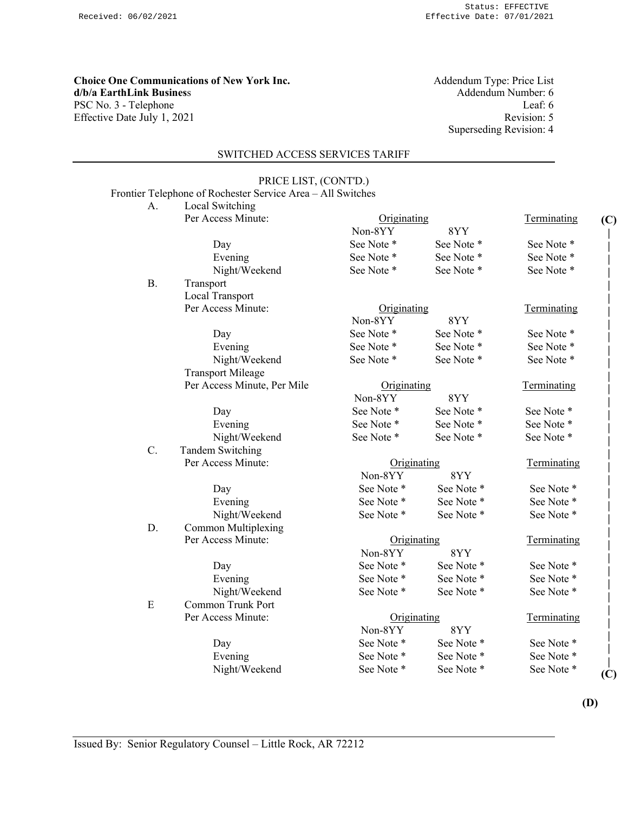**Choice One Communications of New York Inc.** Addendum Type: Price List **d/b/a EarthLink Business** Addendum Number: 6 PSC No. 3 - Telephone Leaf: 6 Effective Date July 1, 2021 Revision: 5

Superseding Revision: 4

See Note \* See Note \* See Note \* See Note \* See Note \* See Note \*

See Note \* See Note \* See Note \* See Note \* See Note \* See Note \*

See Note \* See Note \* See Note \* See Note \* See Note \* See Note \*

Non-8YY 8YY

Terminating

**(C) | | | | | | | | | | | | | | | | | | | | | | | | | | | | | | | | | | (C)** 

Terminating

Terminating

#### SWITCHED ACCESS SERVICES TARIFF

PRICE LIST, (CONT'D.)

|    | Frontier Telephone of Rochester Service Area - All Switches |             |          |
|----|-------------------------------------------------------------|-------------|----------|
| A. | Local Switching                                             |             |          |
|    | Per Access Minute:                                          | Originating |          |
|    |                                                             | Non-8YY     | 8YY      |
|    | Day                                                         | See Note *  | See Note |
|    | Evening                                                     | See Note *  | See Note |
|    | Night/Weekend                                               | See Note *  | See Note |
| В. | Transport                                                   |             |          |
|    | Local Transport                                             |             |          |
|    | Per Access Minute:                                          | Originating |          |
|    |                                                             | Non-8YY     | 8YY      |
|    | Day                                                         | See Note *  | See Note |
|    | Evening                                                     | See Note *  | See Note |
|    | Night/Weekend                                               | See Note *  | See Note |
|    | <b>Transport Mileage</b>                                    |             |          |
|    | Per Access Minute, Per Mile                                 | Originating |          |
|    |                                                             | Non-8YY     | 8YY      |
|    | Day                                                         | See Note *  | See Note |
|    | Evening                                                     | See Note *  | See Note |
|    | Night/Weekend                                               | See Note *  | See Note |
|    | Tandem Switching                                            |             |          |

I andem Switching Per Access Minute: Criginating Terminating Terminating

|    |                     | Non-8YY     | 8YY        |             |
|----|---------------------|-------------|------------|-------------|
|    | Day                 | See Note *  | See Note * | See Note *  |
|    | Evening             | See Note *  | See Note * | See Note *  |
|    | Night/Weekend       | See Note *  | See Note * | See Note *  |
| D. | Common Multiplexing |             |            |             |
|    | Per Access Minute:  | Originating |            | Terminating |
|    |                     | Non-8YY     | 8YY        |             |

|   | Day                | See Note *  | See Note * | See Note *  |
|---|--------------------|-------------|------------|-------------|
|   | Evening            | See Note *  | See Note * | See Note *  |
|   | Night/Weekend      | See Note *  | See Note * | See Note *  |
| E | Common Trunk Port  |             |            |             |
|   | Per Access Minute: | Originating |            | Terminating |
|   |                    |             |            |             |

Day See Note \* See Note \* See Note \* See Note \* Evening See Note \* See Note \* See Note \* See Note \* Night/Weekend See Note \* See Note \* See Note \* See Note \*

**Originating Terminating** 

**(D)**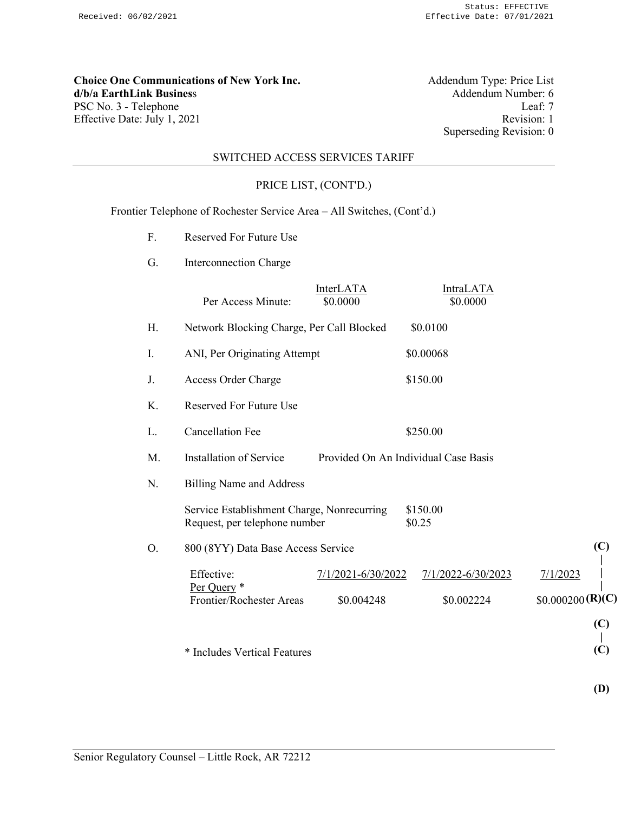**Choice One Communications of New York Inc.**<br>d/b/a EarthLink Business PSC No. 3 - Telephone Leaf: 7<br>Effective Date: July 1, 2021 Revision: 1 Effective Date: July 1, 2021

Addendum Type: Price List<br>Addendum Number: 6 Superseding Revision: 0

### SWITCHED ACCESS SERVICES TARIFF

### PRICE LIST, (CONT'D.)

Frontier Telephone of Rochester Service Area – All Switches, (Cont'd.)

- F. Reserved For Future Use
- G. Interconnection Charge

|    | Per Access Minute:                                                          | InterLATA<br>\$0.0000            | <b>IntraLATA</b><br>\$0.0000         |                              |
|----|-----------------------------------------------------------------------------|----------------------------------|--------------------------------------|------------------------------|
| H. | Network Blocking Charge, Per Call Blocked                                   |                                  | \$0.0100                             |                              |
| I. | ANI, Per Originating Attempt                                                |                                  | \$0.00068                            |                              |
| J. | Access Order Charge                                                         |                                  | \$150.00                             |                              |
| K. | <b>Reserved For Future Use</b>                                              |                                  |                                      |                              |
| L. | <b>Cancellation Fee</b>                                                     |                                  | \$250.00                             |                              |
| M. | Installation of Service                                                     |                                  | Provided On An Individual Case Basis |                              |
| N. | <b>Billing Name and Address</b>                                             |                                  |                                      |                              |
|    | Service Establishment Charge, Nonrecurring<br>Request, per telephone number |                                  | \$150.00<br>\$0.25                   |                              |
| O. | 800 (8YY) Data Base Access Service                                          |                                  |                                      | (C)                          |
|    | Effective:<br>Per Query *<br>Frontier/Rochester Areas                       | 7/1/2021-6/30/2022<br>\$0.004248 | 7/1/2022-6/30/2023<br>\$0.002224     | 7/1/2023<br>\$0.000200(R)(C) |
|    | * Includes Vertical Features                                                |                                  |                                      | (C)<br>(C)                   |

**(D)**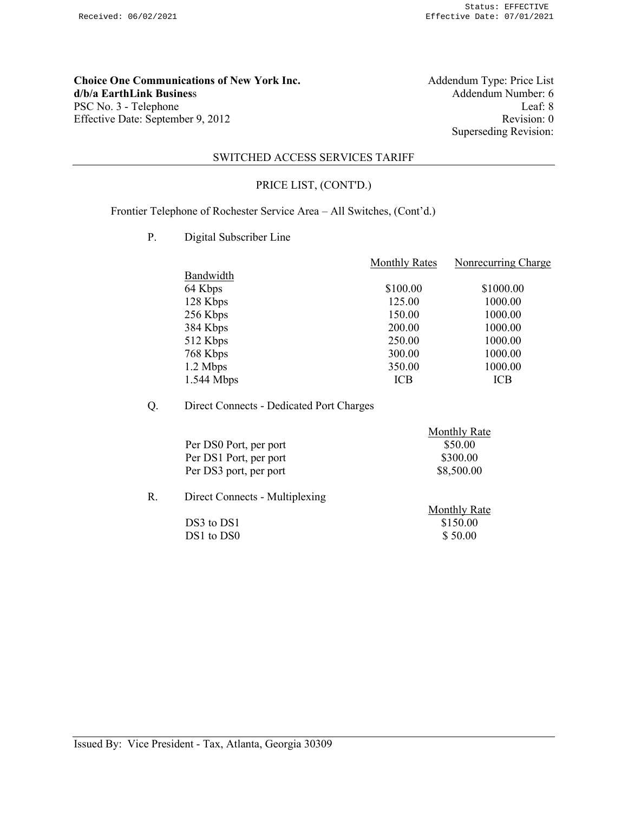**Choice One Communications of New York Inc.** Addendum Type: Price List d/b/a EarthLink Business Addendum Number: 6 **d/b/a EarthLink Business** PSC No. 3 - Telephone Leaf: 8<br>
Effective Date: September 9, 2012 Revision: 0 Effective Date: September 9, 2012

Superseding Revision:

#### SWITCHED ACCESS SERVICES TARIFF

### PRICE LIST, (CONT'D.)

Frontier Telephone of Rochester Service Area – All Switches, (Cont'd.)

P. Digital Subscriber Line

|              | <b>Monthly Rates</b> | Nonrecurring Charge |
|--------------|----------------------|---------------------|
| Bandwidth    |                      |                     |
| 64 Kbps      | \$100.00             | \$1000.00           |
| 128 Kbps     | 125.00               | 1000.00             |
| 256 Kbps     | 150.00               | 1000.00             |
| 384 Kbps     | 200.00               | 1000.00             |
| 512 Kbps     | 250.00               | 1000.00             |
| 768 Kbps     | 300.00               | 1000.00             |
| 1.2 Mbps     | 350.00               | 1000.00             |
| $1.544$ Mbps | ICB                  | ICB                 |
|              |                      |                     |

Q. Direct Connects - Dedicated Port Charges

|    |                                | <b>Monthly Rate</b> |
|----|--------------------------------|---------------------|
|    | Per DS0 Port, per port         | \$50.00             |
|    | Per DS1 Port, per port         | \$300.00            |
|    | Per DS3 port, per port         | \$8,500.00          |
| R. | Direct Connects - Multiplexing |                     |

|  | Monthly Rate |
|--|--------------|
|  | \$150.00     |
|  | \$50.00      |
|  |              |